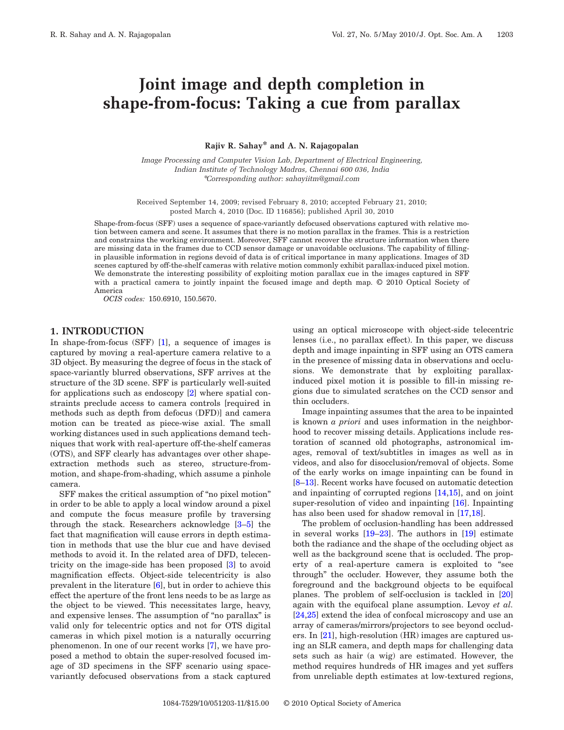# **Joint image and depth completion in shape-from-focus: Taking a cue from parallax**

**Rajiv R. Sahay\* and A. N. Rajagopalan**

*Image Processing and Computer Vision Lab, Department of Electrical Engineering, Indian Institute of Technology Madras, Chennai 600 036, India* \**Corresponding author: sahayiitm@gmail.com*

Received September 14, 2009; revised February 8, 2010; accepted February 21, 2010; posted March 4, 2010 (Doc. ID 116856); published April 30, 2010

Shape-from-focus (SFF) uses a sequence of space-variantly defocused observations captured with relative motion between camera and scene. It assumes that there is no motion parallax in the frames. This is a restriction and constrains the working environment. Moreover, SFF cannot recover the structure information when there are missing data in the frames due to CCD sensor damage or unavoidable occlusions. The capability of fillingin plausible information in regions devoid of data is of critical importance in many applications. Images of 3D scenes captured by off-the-shelf cameras with relative motion commonly exhibit parallax-induced pixel motion. We demonstrate the interesting possibility of exploiting motion parallax cue in the images captured in SFF with a practical camera to jointly inpaint the focused image and depth map. © 2010 Optical Society of America

*OCIS codes:* 150.6910, 150.5670.

### **1. INTRODUCTION**

In shape-from-focus (SFF) [\[1\]](#page-9-0), a sequence of images is captured by moving a real-aperture camera relative to a 3D object. By measuring the degree of focus in the stack of space-variantly blurred observations, SFF arrives at the structure of the 3D scene. SFF is particularly well-suited for applications such as endoscopy [\[2\]](#page-9-1) where spatial constraints preclude access to camera controls [required in methods such as depth from defocus (DFD)] and camera motion can be treated as piece-wise axial. The small working distances used in such applications demand techniques that work with real-aperture off-the-shelf cameras (OTS), and SFF clearly has advantages over other shapeextraction methods such as stereo, structure-frommotion, and shape-from-shading, which assume a pinhole camera.

SFF makes the critical assumption of "no pixel motion" in order to be able to apply a local window around a pixel and compute the focus measure profile by traversing through the stack. Researchers acknowledge [\[3–](#page-9-2)[5\]](#page-9-3) the fact that magnification will cause errors in depth estimation in methods that use the blur cue and have devised methods to avoid it. In the related area of DFD, telecentricity on the image-side has been proposed [\[3\]](#page-9-2) to avoid magnification effects. Object-side telecentricity is also prevalent in the literature [\[6\]](#page-9-4), but in order to achieve this effect the aperture of the front lens needs to be as large as the object to be viewed. This necessitates large, heavy, and expensive lenses. The assumption of "no parallax" is valid only for telecentric optics and not for OTS digital cameras in which pixel motion is a naturally occurring phenomenon. In one of our recent works [\[7\]](#page-9-5), we have proposed a method to obtain the super-resolved focused image of 3D specimens in the SFF scenario using spacevariantly defocused observations from a stack captured

using an optical microscope with object-side telecentric lenses (i.e., no parallax effect). In this paper, we discuss depth and image inpainting in SFF using an OTS camera in the presence of missing data in observations and occlusions. We demonstrate that by exploiting parallaxinduced pixel motion it is possible to fill-in missing regions due to simulated scratches on the CCD sensor and thin occluders.

Image inpainting assumes that the area to be inpainted is known *a priori* and uses information in the neighborhood to recover missing details. Applications include restoration of scanned old photographs, astronomical images, removal of text/subtitles in images as well as in videos, and also for disocclusion/removal of objects. Some of the early works on image inpainting can be found in [\[8–](#page-9-6)[13\]](#page-9-7). Recent works have focused on automatic detection and inpainting of corrupted regions [\[14](#page-9-8)[,15\]](#page-9-9), and on joint super-resolution of video and inpainting [\[16\]](#page-9-10). Inpainting has also been used for shadow removal in [\[17](#page-9-11)[,18\]](#page-9-12).

The problem of occlusion-handling has been addressed in several works [\[19](#page-9-13)[–23\]](#page-10-0). The authors in [\[19\]](#page-9-13) estimate both the radiance and the shape of the occluding object as well as the background scene that is occluded. The property of a real-aperture camera is exploited to "see through" the occluder. However, they assume both the foreground and the background objects to be equifocal planes. The problem of self-occlusion is tackled in [\[20\]](#page-10-1) again with the equifocal plane assumption. Levoy *et al.* [\[24](#page-10-2)[,25\]](#page-10-3) extend the idea of confocal microscopy and use an array of cameras/mirrors/projectors to see beyond occluders. In [\[21\]](#page-10-4), high-resolution (HR) images are captured using an SLR camera, and depth maps for challenging data sets such as hair (a wig) are estimated. However, the method requires hundreds of HR images and yet suffers from unreliable depth estimates at low-textured regions,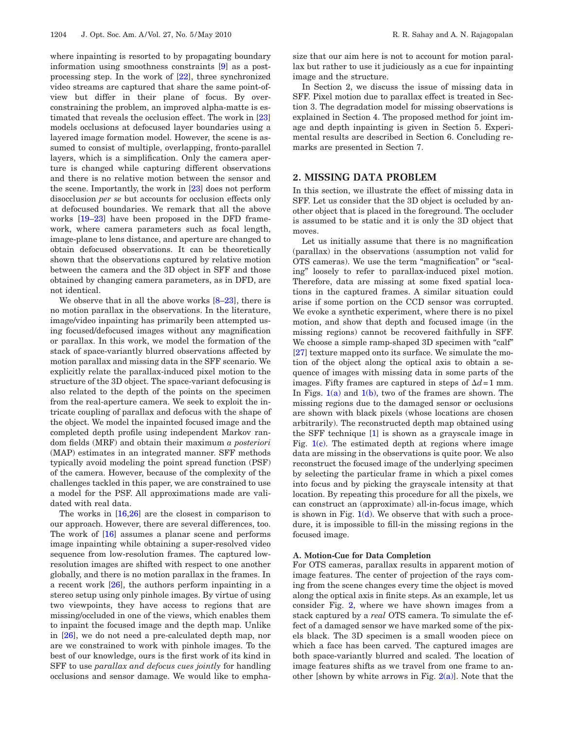where inpainting is resorted to by propagating boundary information using smoothness constraints [\[9\]](#page-9-14) as a postprocessing step. In the work of [\[22\]](#page-10-5), three synchronized video streams are captured that share the same point-ofview but differ in their plane of focus. By overconstraining the problem, an improved alpha-matte is estimated that reveals the occlusion effect. The work in [\[23\]](#page-10-0) models occlusions at defocused layer boundaries using a layered image formation model. However, the scene is assumed to consist of multiple, overlapping, fronto-parallel layers, which is a simplification. Only the camera aperture is changed while capturing different observations and there is no relative motion between the sensor and the scene. Importantly, the work in [\[23\]](#page-10-0) does not perform disocclusion *per se* but accounts for occlusion effects only at defocused boundaries. We remark that all the above works [\[19](#page-9-13)[–23\]](#page-10-0) have been proposed in the DFD framework, where camera parameters such as focal length, image-plane to lens distance, and aperture are changed to obtain defocused observations. It can be theoretically shown that the observations captured by relative motion between the camera and the 3D object in SFF and those obtained by changing camera parameters, as in DFD, are not identical.

We observe that in all the above works  $[8-23]$  $[8-23]$ , there is no motion parallax in the observations. In the literature, image/video inpainting has primarily been attempted using focused/defocused images without any magnification or parallax. In this work, we model the formation of the stack of space-variantly blurred observations affected by motion parallax and missing data in the SFF scenario. We explicitly relate the parallax-induced pixel motion to the structure of the 3D object. The space-variant defocusing is also related to the depth of the points on the specimen from the real-aperture camera. We seek to exploit the intricate coupling of parallax and defocus with the shape of the object. We model the inpainted focused image and the completed depth profile using independent Markov random fields (MRF) and obtain their maximum *a posteriori* (MAP) estimates in an integrated manner. SFF methods typically avoid modeling the point spread function (PSF) of the camera. However, because of the complexity of the challenges tackled in this paper, we are constrained to use a model for the PSF. All approximations made are validated with real data.

The works in [\[16](#page-9-10)[,26\]](#page-10-6) are the closest in comparison to our approach. However, there are several differences, too. The work of  $[16]$  assumes a planar scene and performs image inpainting while obtaining a super-resolved video sequence from low-resolution frames. The captured lowresolution images are shifted with respect to one another globally, and there is no motion parallax in the frames. In a recent work [\[26\]](#page-10-6), the authors perform inpainting in a stereo setup using only pinhole images. By virtue of using two viewpoints, they have access to regions that are missing/occluded in one of the views, which enables them to inpaint the focused image and the depth map. Unlike in [\[26\]](#page-10-6), we do not need a pre-calculated depth map, nor are we constrained to work with pinhole images. To the best of our knowledge, ours is the first work of its kind in SFF to use *parallax and defocus cues jointly* for handling occlusions and sensor damage. We would like to emphasize that our aim here is not to account for motion parallax but rather to use it judiciously as a cue for inpainting image and the structure.

In Section 2, we discuss the issue of missing data in SFF. Pixel motion due to parallax effect is treated in Section 3. The degradation model for missing observations is explained in Section 4. The proposed method for joint image and depth inpainting is given in Section 5. Experimental results are described in Section 6. Concluding remarks are presented in Section 7.

## **2. MISSING DATA PROBLEM**

In this section, we illustrate the effect of missing data in SFF. Let us consider that the 3D object is occluded by another object that is placed in the foreground. The occluder is assumed to be static and it is only the 3D object that moves.

Let us initially assume that there is no magnification (parallax) in the observations (assumption not valid for OTS cameras). We use the term "magnification" or "scaling" loosely to refer to parallax-induced pixel motion. Therefore, data are missing at some fixed spatial locations in the captured frames. A similar situation could arise if some portion on the CCD sensor was corrupted. We evoke a synthetic experiment, where there is no pixel motion, and show that depth and focused image (in the missing regions) cannot be recovered faithfully in SFF. We choose a simple ramp-shaped 3D specimen with "calf" [\[27\]](#page-10-7) texture mapped onto its surface. We simulate the motion of the object along the optical axis to obtain a sequence of images with missing data in some parts of the images. Fifty frames are captured in steps of  $\Delta d=1$  mm. In Figs.  $1(a)$  and  $1(b)$ , two of the frames are shown. The missing regions due to the damaged sensor or occlusions are shown with black pixels (whose locations are chosen arbitrarily). The reconstructed depth map obtained using the SFF technique [\[1\]](#page-9-0) is shown as a grayscale image in Fig.  $1(c)$ . The estimated depth at regions where image data are missing in the observations is quite poor. We also reconstruct the focused image of the underlying specimen by selecting the particular frame in which a pixel comes into focus and by picking the grayscale intensity at that location. By repeating this procedure for all the pixels, we can construct an (approximate) all-in-focus image, which is shown in Fig.  $1(d)$ . We observe that with such a procedure, it is impossible to fill-in the missing regions in the focused image.

#### **A. Motion-Cue for Data Completion**

For OTS cameras, parallax results in apparent motion of image features. The center of projection of the rays coming from the scene changes every time the object is moved along the optical axis in finite steps. As an example, let us consider Fig. [2,](#page-2-1) where we have shown images from a stack captured by a *real* OTS camera. To simulate the effect of a damaged sensor we have marked some of the pixels black. The 3D specimen is a small wooden piece on which a face has been carved. The captured images are both space-variantly blurred and scaled. The location of image features shifts as we travel from one frame to another [shown by white arrows in Fig.  $2(a)$ ]. Note that the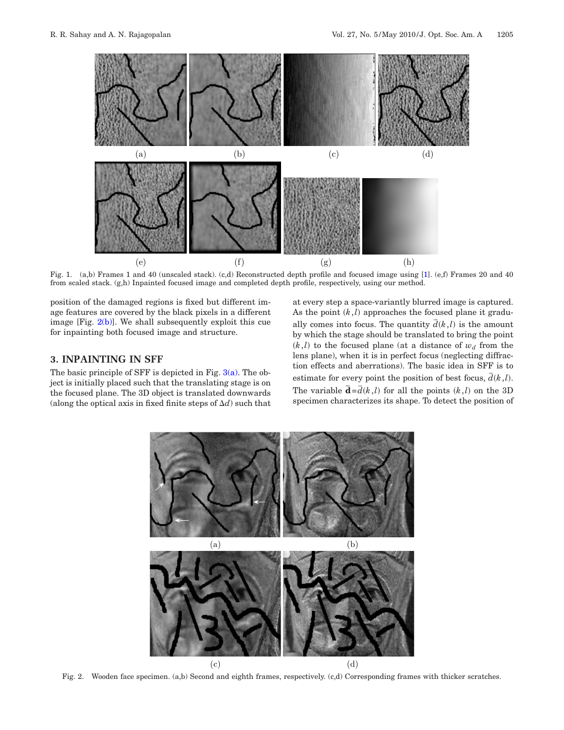<span id="page-2-0"></span>

Fig. 1. (a,b) Frames 1 and 40 (unscaled stack). (c,d) Reconstructed depth profile and focused image using [\[1\]](#page-9-0). (e,f) Frames 20 and 40 from scaled stack. (g,h) Inpainted focused image and completed depth profile, respectively, using our method.

position of the damaged regions is fixed but different image features are covered by the black pixels in a different image [Fig.  $2(b)$ ]. We shall subsequently exploit this cue for inpainting both focused image and structure.

# **3. INPAINTING IN SFF**

<span id="page-2-1"></span>The basic principle of SFF is depicted in Fig.  $3(a)$ . The object is initially placed such that the translating stage is on the focused plane. The 3D object is translated downwards (along the optical axis in fixed finite steps of  $\Delta d$ ) such that

at every step a space-variantly blurred image is captured. As the point  $(k, l)$  approaches the focused plane it gradually comes into focus. The quantity  $\overline{d}(k,l)$  is the amount by which the stage should be translated to bring the point  $(k,l)$  to the focused plane (at a distance of  $w_d$  from the lens plane), when it is in perfect focus (neglecting diffraction effects and aberrations). The basic idea in SFF is to estimate for every point the position of best focus,  $\overline{d}(k, l)$ . The variable  $\overline{\mathbf{d}} = \overline{d}(k,l)$  for all the points  $(k,l)$  on the 3D specimen characterizes its shape. To detect the position of



Fig. 2. Wooden face specimen. (a,b) Second and eighth frames, respectively. (c,d) Corresponding frames with thicker scratches.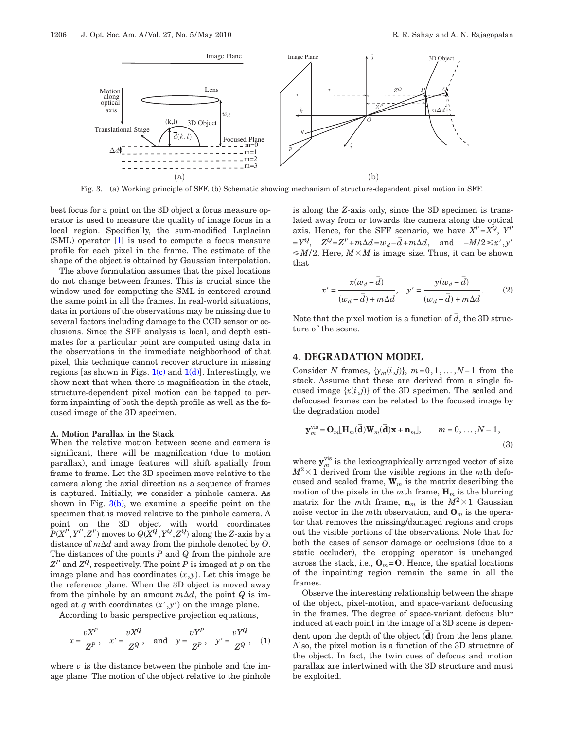<span id="page-3-0"></span>

Fig. 3. (a) Working principle of SFF. (b) Schematic showing mechanism of structure-dependent pixel motion in SFF.

best focus for a point on the 3D object a focus measure operator is used to measure the quality of image focus in a local region. Specifically, the sum-modified Laplacian (SML) operator [\[1\]](#page-9-0) is used to compute a focus measure profile for each pixel in the frame. The estimate of the shape of the object is obtained by Gaussian interpolation.

The above formulation assumes that the pixel locations do not change between frames. This is crucial since the window used for computing the SML is centered around the same point in all the frames. In real-world situations, data in portions of the observations may be missing due to several factors including damage to the CCD sensor or occlusions. Since the SFF analysis is local, and depth estimates for a particular point are computed using data in the observations in the immediate neighborhood of that pixel, this technique cannot recover structure in missing regions [as shown in Figs.  $1(c)$  and  $1(d)$ ]. Interestingly, we show next that when there is magnification in the stack, structure-dependent pixel motion can be tapped to perform inpainting of both the depth profile as well as the focused image of the 3D specimen.

#### **A. Motion Parallax in the Stack**

When the relative motion between scene and camera is significant, there will be magnification (due to motion parallax), and image features will shift spatially from frame to frame. Let the 3D specimen move relative to the camera along the axial direction as a sequence of frames is captured. Initially, we consider a pinhole camera. As shown in Fig.  $3(b)$ , we examine a specific point on the specimen that is moved relative to the pinhole camera. A point on the 3D object with world coordinates  $P(X^P, Y^P, Z^P)$  moves to  $Q(X^Q, Y^Q, Z^Q)$  along the *Z*-axis by a distance of  $m\Delta d$  and away from the pinhole denoted by  $O$ . The distances of the points *P* and *Q* from the pinhole are  $Z^P$  and  $Z^Q$ , respectively. The point *P* is imaged at *p* on the image plane and has coordinates  $(x, y)$ . Let this image be the reference plane. When the 3D object is moved away from the pinhole by an amount  $m\Delta d$ , the point *Q* is imaged at  $q$  with coordinates  $(x', y')$  on the image plane.

According to basic perspective projection equations,

$$
x = \frac{vX^P}{Z^P}, \quad x' = \frac{vX^Q}{Z^Q}, \quad \text{and} \quad y = \frac{vY^P}{Z^P}, \quad y' = \frac{vY^Q}{Z^Q}, \quad (1)
$$

where *v* is the distance between the pinhole and the image plane. The motion of the object relative to the pinhole

is along the *Z*-axis only, since the 3D specimen is translated away from or towards the camera along the optical axis. Hence, for the SFF scenario, we have  $X^P = X^Q$ ,  $Y^P$  $= Y^Q$ ,  $Z^Q = Z^P + m\Delta d = w_d - \overline{d} + m\Delta d$ , and  $-M/2 \le x', y'$  $\leq M/2$ . Here,  $M \times M$  is image size. Thus, it can be shown that

<span id="page-3-2"></span>
$$
x' = \frac{x(w_d - \overline{d})}{(w_d - \overline{d}) + m\Delta d}, \quad y' = \frac{y(w_d - \overline{d})}{(w_d - \overline{d}) + m\Delta d}.
$$
 (2)

Note that the pixel motion is a function of  $\bar{d}$ , the 3D structure of the scene.

#### **4. DEGRADATION MODEL**

Consider *N* frames,  $\{y_m(i,j)\}, m=0,1,\ldots,N-1$  from the stack. Assume that these are derived from a single focused image  $\{x(i,j)\}\$  of the 3D specimen. The scaled and defocused frames can be related to the focused image by the degradation model

<span id="page-3-1"></span>
$$
\mathbf{y}_m^{\text{vis}} = \mathbf{O}_m[\mathbf{H}_m(\mathbf{\bar{d}})\mathbf{W}_m(\mathbf{\bar{d}})\mathbf{x} + \mathbf{n}_m], \qquad m = 0, \dots, N - 1,
$$
\n(3)

where  $\mathbf{y}_m^{\text{vis}}$  is the lexicographically arranged vector of size  $M^2 \times 1$  derived from the visible regions in the *m*th defocused and scaled frame, **W***<sup>m</sup>* is the matrix describing the motion of the pixels in the *m*th frame,  $\mathbf{H}_m$  is the blurring matrix for the *m*th frame,  $\mathbf{n}_m$  is the  $M^2 \times 1$  Gaussian noise vector in the *m*th observation, and  $\mathbf{O}_m$  is the operator that removes the missing/damaged regions and crops out the visible portions of the observations. Note that for both the cases of sensor damage or occlusions (due to a static occluder), the cropping operator is unchanged across the stack, i.e.,  $\mathbf{O}_m = \mathbf{O}$ . Hence, the spatial locations of the inpainting region remain the same in all the frames.

Observe the interesting relationship between the shape of the object, pixel-motion, and space-variant defocusing in the frames. The degree of space-variant defocus blur induced at each point in the image of a 3D scene is dependent upon the depth of the object  $(\mathbf{\bar{d}})$  from the lens plane. Also, the pixel motion is a function of the 3D structure of the object. In fact, the twin cues of defocus and motion parallax are intertwined with the 3D structure and must be exploited.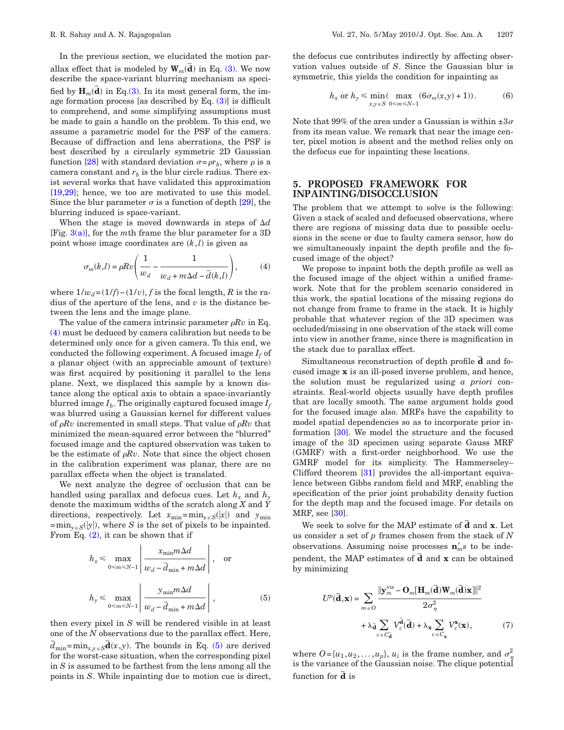In the previous section, we elucidated the motion parallax effect that is modeled by  $\mathbf{W}_m(\mathbf{\bar{d}})$  in Eq. [\(3\).](#page-3-1) We now describe the space-variant blurring mechanism as specified by  $\mathbf{H}_m(\mathbf{\bar{d}})$  in Eq[.\(3\).](#page-3-1) In its most general form, the image formation process [as described by Eq.  $(3)$ ] is difficult to comprehend, and some simplifying assumptions must be made to gain a handle on the problem. To this end, we assume a parametric model for the PSF of the camera. Because of diffraction and lens aberrations, the PSF is best described by a circularly symmetric 2D Gaussian function [\[28\]](#page-10-8) with standard deviation  $\sigma = \rho r_b$ , where  $\rho$  is a camera constant and  $r<sub>b</sub>$  is the blur circle radius. There exist several works that have validated this approximation [\[19,](#page-9-13)[29\]](#page-10-9); hence, we too are motivated to use this model. Since the blur parameter  $\sigma$  is a function of depth [\[29\]](#page-10-9), the blurring induced is space-variant.

<span id="page-4-0"></span>When the stage is moved downwards in steps of  $\Delta d$ [Fig. [3\(a\)\]](#page-3-0), for the *m*th frame the blur parameter for a 3D point whose image coordinates are  $(k, l)$  is given as

$$
\sigma_m(k,l) = \rho R v \left( \frac{1}{w_d} - \frac{1}{w_d + m\Delta d - \overline{d}(k,l)} \right),\tag{4}
$$

where  $1/w_d = (1/f) - (1/v)$ , *f* is the focal length, *R* is the radius of the aperture of the lens, and *v* is the distance between the lens and the image plane.

The value of the camera intrinsic parameter  $\rho Rv$  in Eq. [\(4\)](#page-4-0) must be deduced by camera calibration but needs to be determined only once for a given camera. To this end, we conducted the following experiment. A focused image  $I_f$  of a planar object (with an appreciable amount of texture) was first acquired by positioning it parallel to the lens plane. Next, we displaced this sample by a known distance along the optical axis to obtain a space-invariantly blurred image  $I<sub>b</sub>$ . The originally captured focused image  $I<sub>f</sub>$ was blurred using a Gaussian kernel for different values of  $\rho Rv$  incremented in small steps. That value of  $\rho Rv$  that minimized the mean-squared error between the "blurred" focused image and the captured observation was taken to be the estimate of  $\rho Rv$ . Note that since the object chosen in the calibration experiment was planar, there are no parallax effects when the object is translated.

We next analyze the degree of occlusion that can be handled using parallax and defocus cues. Let  $h_x$  and  $h_y$ denote the maximum widths of the scratch along *X* and *Y* directions, respectively. Let  $x_{\min} = \min_{x \in S} (|x|)$  and  $y_{\min}$  $=\min_{y \in S}(|y|)$ , where *S* is the set of pixels to be inpainted. From Eq.  $(2)$ , it can be shown that if

$$
h_x \le \max_{0 \le m \le N-1} \left| \frac{x_{\min} m \Delta d}{w_d - \overline{d}_{\min} + m \Delta d} \right|, \text{ or}
$$
  

$$
h_y \le \max_{0 \le m \le N-1} \left| \frac{y_{\min} m \Delta d}{w_d - \overline{d}_{\min} + m \Delta d} \right|,
$$
 (5)

<span id="page-4-1"></span>then every pixel in *S* will be rendered visible in at least one of the *N* observations due to the parallax effect. Here,  $\overline{d}_{\min} = \min_{x,y \in S} \overline{\mathbf{d}}(x,y)$ . The bounds in Eq. [\(5\)](#page-4-1) are derived for the worst-case situation, when the corresponding pixel in *S* is assumed to be farthest from the lens among all the points in *S*. While inpainting due to motion cue is direct, the defocus cue contributes indirectly by affecting observation values outside of *S*. Since the Gaussian blur is symmetric, this yields the condition for inpainting as

$$
h_x \text{ or } h_y \le \min_{x,y \in S} (\max_{0 \le m \le N-1} (6\sigma_m(x,y) + 1)).
$$
 (6)

Note that 99% of the area under a Gaussian is within  $\pm 3\sigma$ from its mean value. We remark that near the image center, pixel motion is absent and the method relies only on the defocus cue for inpainting these locations.

## **5. PROPOSED FRAMEWORK FOR INPAINTING/DISOCCLUSION**

The problem that we attempt to solve is the following: Given a stack of scaled and defocused observations, where there are regions of missing data due to possible occlusions in the scene or due to faulty camera sensor, how do we simultaneously inpaint the depth profile and the focused image of the object?

We propose to inpaint both the depth profile as well as the focused image of the object within a unified framework. Note that for the problem scenario considered in this work, the spatial locations of the missing regions do not change from frame to frame in the stack. It is highly probable that whatever region of the 3D specimen was occluded/missing in one observation of the stack will come into view in another frame, since there is magnification in the stack due to parallax effect.

Simultaneous reconstruction of depth profile **d** and focused image **x** is an ill-posed inverse problem, and hence, the solution must be regularized using *a priori* constraints. Real-world objects usually have depth profiles that are locally smooth. The same argument holds good for the focused image also. MRFs have the capability to model spatial dependencies so as to incorporate prior information [\[30\]](#page-10-10). We model the structure and the focused image of the 3D specimen using separate Gauss MRF (GMRF) with a first-order neighborhood. We use the GMRF model for its simplicity. The Hammerseley– Clifford theorem [\[31\]](#page-10-11) provides the all-important equivalence between Gibbs random field and MRF, enabling the specification of the prior joint probability density fuction for the depth map and the focused image. For details on MRF, see [\[30\]](#page-10-10).

We seek to solve for the MAP estimate of  $\overline{d}$  and **x**. Let us consider a set of *p* frames chosen from the stack of *N* observations. Assuming noise processes  $\mathbf{n}'_m$ s to be independent, the MAP estimates of  $\overline{d}$  and  $\overline{x}$  can be obtained by minimizing

$$
U^{p}(\overline{\mathbf{d}}, \mathbf{x}) = \sum_{m \in O} \frac{\|\mathbf{y}_{m}^{\text{vis}} - \mathbf{O}_{m}[\mathbf{H}_{m}(\overline{\mathbf{d}})\mathbf{W}_{m}(\overline{\mathbf{d}})\mathbf{x}]\|^{2}}{2\sigma_{\eta}^{2}} + \lambda_{\overline{\mathbf{d}}}\sum_{c \in C_{\overline{\mathbf{d}}}} V_{c}^{\overline{\mathbf{d}}}(\overline{\mathbf{d}}) + \lambda_{\mathbf{x}} \sum_{c \in C_{\mathbf{x}}} V_{c}^{\mathbf{x}}(\mathbf{x}),
$$
 (7)

where  $O = \{u_1, u_2, \ldots, u_p\}$ ,  $u_i$  is the frame number, and  $\sigma_\eta^2$ is the variance of the Gaussian noise. The clique potential function for  $\overline{d}$  is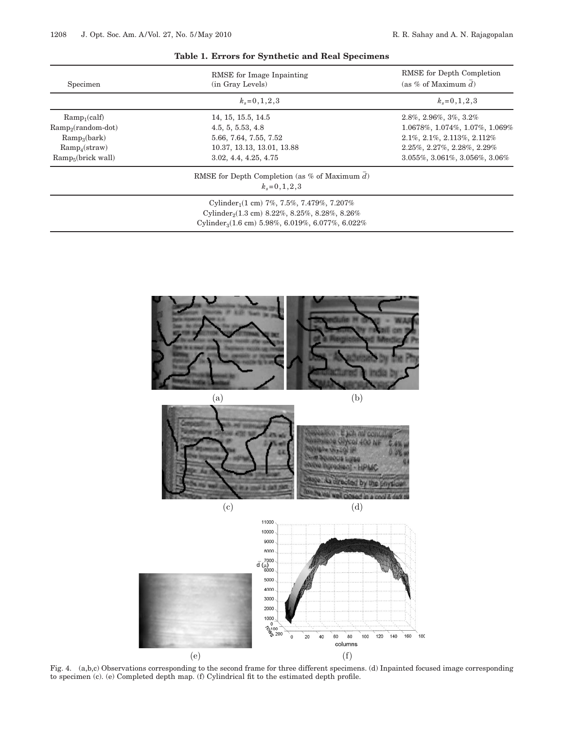<span id="page-5-0"></span>

| Specimen              | RMSE for Image Inpainting<br>(in Gray Levels)                          | RMSE for Depth Completion<br>(as % of Maximum $d$ ) |
|-----------------------|------------------------------------------------------------------------|-----------------------------------------------------|
|                       | $k_e = 0, 1, 2, 3$                                                     | $k_e = 0, 1, 2, 3$                                  |
| $Ramp_1(calf)$        | 14, 15, 15.5, 14.5                                                     | $2.8\%$ , $2.96\%$ , $3\%$ , $3.2\%$                |
| $Ramp_2$ (random-dot) | 4.5, 5, 5.53, 4.8                                                      | 1.0678%, 1.074%, 1.07%, 1.069%                      |
| $Ramp_3(bark)$        | 5.66, 7.64, 7.55, 7.52                                                 | $2.1\%$ , $2.1\%$ , $2.113\%$ , $2.112\%$           |
| $Ramp_4(straw)$       | 10.37, 13.13, 13.01, 13.88                                             | $2.25\%, 2.27\%, 2.28\%, 2.29\%$                    |
| $Ramp_5(brick wall)$  | 3.02, 4.4, 4.25, 4.75                                                  | $3.055\%, 3.061\%, 3.056\%, 3.06\%$                 |
|                       | RMSE for Depth Completion (as $%$ of Maximum d)<br>$k_e = 0, 1, 2, 3$  |                                                     |
|                       | Cylinder <sub>1</sub> $(1 \text{ cm})$ 7%, 7.5%, 7.479%, 7.207%        |                                                     |
|                       | Cylinder <sub>2</sub> $(1.3 \text{ cm})$ 8.22%, 8.25%, 8.28%, 8.26%    |                                                     |
|                       | Cylinder <sub>3</sub> $(1.6 \text{ cm})$ 5.98%, 6.019%, 6.077%, 6.022% |                                                     |

## **Table 1. Errors for Synthetic and Real Specimens**

<span id="page-5-1"></span>

Fig. 4. (a,b,c) Observations corresponding to the second frame for three different specimens. (d) Inpainted focused image corresponding to specimen (c). (e) Completed depth map. (f) Cylindrical fit to the estimated depth profile.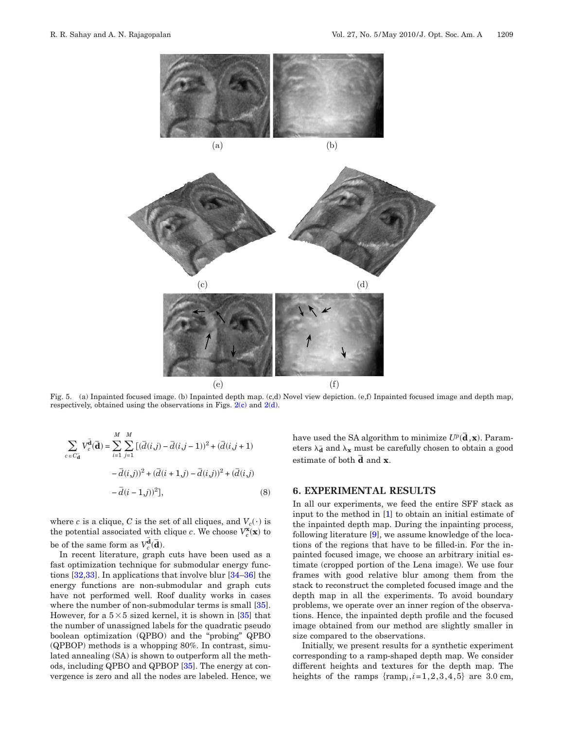<span id="page-6-0"></span>

Fig. 5. (a) Inpainted focused image. (b) Inpainted depth map. (c,d) Novel view depiction. (e,f) Inpainted focused image and depth map, respectively, obtained using the observations in Figs.  $2(c)$  and  $2(d)$ .

$$
\sum_{c \in C_{\mathbf{d}}} V_c^{\overline{\mathbf{d}}}(\overline{\mathbf{d}}) = \sum_{i=1}^{M} \sum_{j=1}^{M} \left[ (\overline{d}(i,j) - \overline{d}(i,j-1))^2 + (\overline{d}(i,j+1) - \overline{d}(i,j))^2 + (\overline{d}(i,j-1))^2 + (\overline{d}(i,j)) - \overline{d}(i-1,j))^2 \right],
$$
\n(8)

where *c* is a clique, *C* is the set of all cliques, and  $V_c(\cdot)$  is the potential associated with clique *c*. We choose  $V_c^{\mathbf{x}}(\mathbf{x})$  to be of the same form as  $V_c^{\bar{\mathbf{d}}}(\bar{\mathbf{d}})$ .

In recent literature, graph cuts have been used as a fast optimization technique for submodular energy functions [\[32](#page-10-12)[,33\]](#page-10-13). In applications that involve blur [\[34](#page-10-14)[–36\]](#page-10-15) the energy functions are non-submodular and graph cuts have not performed well. Roof duality works in cases where the number of non-submodular terms is small [\[35\]](#page-10-16). However, for a  $5\times 5$  sized kernel, it is shown in [\[35\]](#page-10-16) that the number of unassigned labels for the quadratic pseudo boolean optimization (QPBO) and the "probing" QPBO (QPBOP) methods is a whopping 80%. In contrast, simulated annealing (SA) is shown to outperform all the methods, including QPBO and QPBOP [\[35\]](#page-10-16). The energy at convergence is zero and all the nodes are labeled. Hence, we

have used the SA algorithm to minimize  $U^p(\bar{\textbf{d}},\textbf{x})$ . Parameters  $\lambda_{\mathbf{\bar{d}}}$  and  $\lambda_{\mathbf{x}}$  must be carefully chosen to obtain a good estimate of both  $\overline{\mathbf{d}}$  and  $\mathbf{x}$ .

## **6. EXPERIMENTAL RESULTS**

In all our experiments, we feed the entire SFF stack as input to the method in [\[1\]](#page-9-0) to obtain an initial estimate of the inpainted depth map. During the inpainting process, following literature [\[9\]](#page-9-14), we assume knowledge of the locations of the regions that have to be filled-in. For the inpainted focused image, we choose an arbitrary initial estimate (cropped portion of the Lena image). We use four frames with good relative blur among them from the stack to reconstruct the completed focused image and the depth map in all the experiments. To avoid boundary problems, we operate over an inner region of the observations. Hence, the inpainted depth profile and the focused image obtained from our method are slightly smaller in size compared to the observations.

Initially, we present results for a synthetic experiment corresponding to a ramp-shaped depth map. We consider different heights and textures for the depth map. The heights of the ramps  $\{ramp, i=1,2,3,4,5\}$  are 3.0 cm,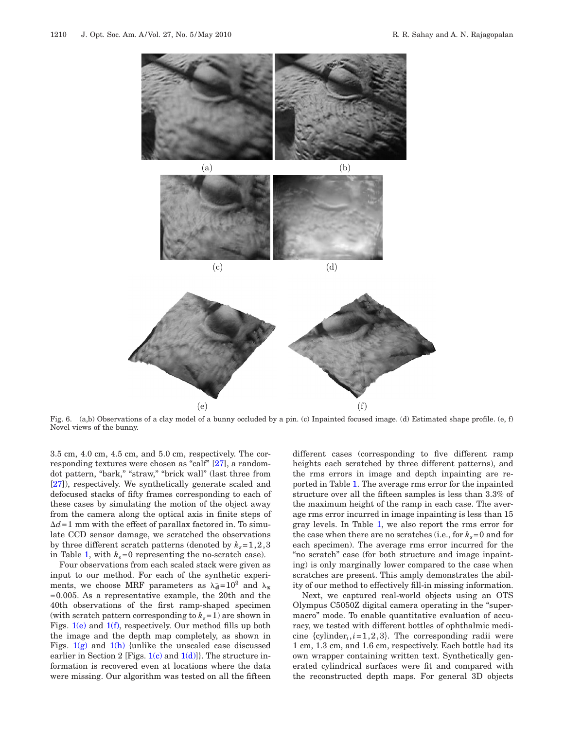<span id="page-7-0"></span>

Fig. 6. (a,b) Observations of a clay model of a bunny occluded by a pin. (c) Inpainted focused image. (d) Estimated shape profile. (e, f) Novel views of the bunny.

3.5 cm, 4.0 cm, 4.5 cm, and 5.0 cm, respectively. The corresponding textures were chosen as "calf" [\[27\]](#page-10-7), a randomdot pattern, "bark," "straw," "brick wall" (last three from [\[27\]](#page-10-7)), respectively. We synthetically generate scaled and defocused stacks of fifty frames corresponding to each of these cases by simulating the motion of the object away from the camera along the optical axis in finite steps of  $\Delta d = 1$  mm with the effect of parallax factored in. To simulate CCD sensor damage, we scratched the observations by three different scratch patterns (denoted by  $k_s = 1, 2, 3$ ) in Table [1,](#page-5-0) with  $k_{s}=0$  representing the no-scratch case).

Four observations from each scaled stack were given as input to our method. For each of the synthetic experiments, we choose MRF parameters as  $\lambda_{\mathbf{d}} = 10^9$  and  $\lambda_{\mathbf{x}}$ =0.005. As a representative example, the 20th and the 40th observations of the first ramp-shaped specimen (with scratch pattern corresponding to  $k_s = 1$ ) are shown in Figs.  $1(e)$  and  $1(f)$ , respectively. Our method fills up both the image and the depth map completely, as shown in Figs.  $1(g)$  and  $1(h)$  {unlike the unscaled case discussed earlier in Section 2 [Figs.  $1(c)$  and  $1(d)$ ]. The structure information is recovered even at locations where the data were missing. Our algorithm was tested on all the fifteen

different cases (corresponding to five different ramp heights each scratched by three different patterns), and the rms errors in image and depth inpainting are reported in Table [1.](#page-5-0) The average rms error for the inpainted structure over all the fifteen samples is less than 3.3% of the maximum height of the ramp in each case. The average rms error incurred in image inpainting is less than 15 gray levels. In Table [1,](#page-5-0) we also report the rms error for the case when there are no scratches (i.e., for  $k_s = 0$  and for each specimen). The average rms error incurred for the "no scratch" case (for both structure and image inpainting) is only marginally lower compared to the case when scratches are present. This amply demonstrates the ability of our method to effectively fill-in missing information.

Next, we captured real-world objects using an OTS Olympus C5050Z digital camera operating in the "supermacro" mode. To enable quantitative evaluation of accuracy, we tested with different bottles of ophthalmic medicine {cylinder<sub>*i*</sub>,*i*=1,2,3}. The corresponding radii were 1 cm, 1.3 cm, and 1.6 cm, respectively. Each bottle had its own wrapper containing written text. Synthetically generated cylindrical surfaces were fit and compared with the reconstructed depth maps. For general 3D objects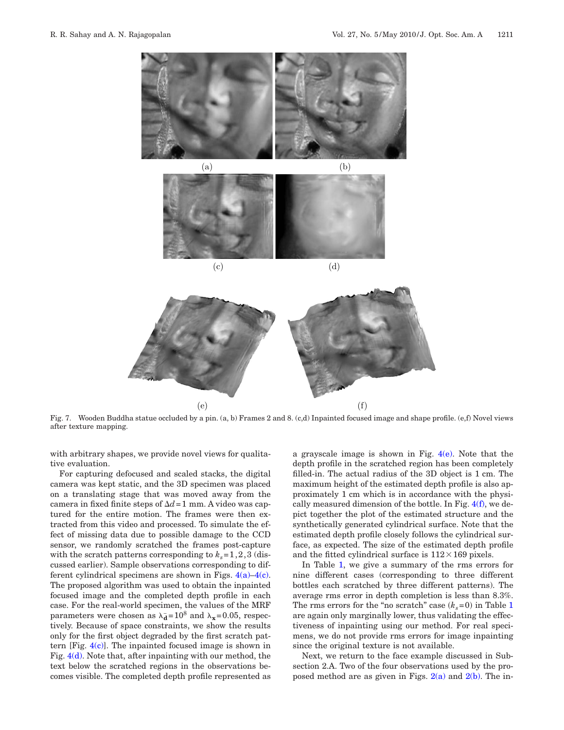<span id="page-8-0"></span>

Fig. 7. Wooden Buddha statue occluded by a pin. (a, b) Frames 2 and 8. (c,d) Inpainted focused image and shape profile. (e,f) Novel views after texture mapping.

with arbitrary shapes, we provide novel views for qualitative evaluation.

For capturing defocused and scaled stacks, the digital camera was kept static, and the 3D specimen was placed on a translating stage that was moved away from the camera in fixed finite steps of  $\Delta d=1$  mm. A video was captured for the entire motion. The frames were then extracted from this video and processed. To simulate the effect of missing data due to possible damage to the CCD sensor, we randomly scratched the frames post-capture with the scratch patterns corresponding to  $k_s = 1, 2, 3$  (discussed earlier). Sample observations corresponding to different cylindrical specimens are shown in Figs.  $4(a)-4(c)$ . The proposed algorithm was used to obtain the inpainted focused image and the completed depth profile in each case. For the real-world specimen, the values of the MRF parameters were chosen as  $\lambda_{\mathbf{d}} = 10^8$  and  $\lambda_{\mathbf{x}} = 0.05$ , respectively. Because of space constraints, we show the results only for the first object degraded by the first scratch pattern [Fig.  $4(c)$ ]. The inpainted focused image is shown in Fig.  $4(d)$ . Note that, after inpainting with our method, the text below the scratched regions in the observations becomes visible. The completed depth profile represented as

a grayscale image is shown in Fig.  $4(e)$ . Note that the depth profile in the scratched region has been completely filled-in. The actual radius of the 3D object is 1 cm. The maximum height of the estimated depth profile is also approximately 1 cm which is in accordance with the physically measured dimension of the bottle. In Fig.  $4(f)$ , we depict together the plot of the estimated structure and the synthetically generated cylindrical surface. Note that the estimated depth profile closely follows the cylindrical surface, as expected. The size of the estimated depth profile and the fitted cylindrical surface is  $112 \times 169$  pixels.

In Table [1,](#page-5-0) we give a summary of the rms errors for nine different cases (corresponding to three different bottles each scratched by three different patterns). The average rms error in depth completion is less than 8.3%. The rms errors for the "no scratch" case  $(k_s=0)$  in Table [1](#page-5-0) are again only marginally lower, thus validating the effectiveness of inpainting using our method. For real specimens, we do not provide rms errors for image inpainting since the original texture is not available.

Next, we return to the face example discussed in Subsection 2.A. Two of the four observations used by the proposed method are as given in Figs.  $2(a)$  and  $2(b)$ . The in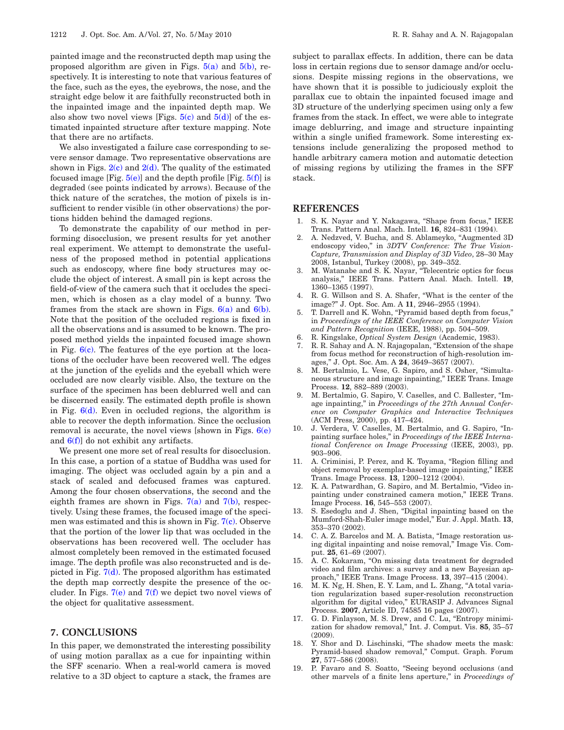painted image and the reconstructed depth map using the proposed algorithm are given in Figs.  $5(a)$  and  $5(b)$ , respectively. It is interesting to note that various features of the face, such as the eyes, the eyebrows, the nose, and the straight edge below it are faithfully reconstructed both in the inpainted image and the inpainted depth map. We also show two novel views [Figs.  $5(c)$  and  $5(d)$ ] of the estimated inpainted structure after texture mapping. Note that there are no artifacts.

We also investigated a failure case corresponding to severe sensor damage. Two representative observations are shown in Figs.  $2(c)$  and  $2(d)$ . The quality of the estimated focused image [Fig.  $5(e)$ ] and the depth profile [Fig.  $5(f)$ ] is degraded (see points indicated by arrows). Because of the thick nature of the scratches, the motion of pixels is insufficient to render visible (in other observations) the portions hidden behind the damaged regions.

To demonstrate the capability of our method in performing disocclusion, we present results for yet another real experiment. We attempt to demonstrate the usefulness of the proposed method in potential applications such as endoscopy, where fine body structures may occlude the object of interest. A small pin is kept across the field-of-view of the camera such that it occludes the specimen, which is chosen as a clay model of a bunny. Two frames from the stack are shown in Figs.  $6(a)$  and  $6(b)$ . Note that the position of the occluded regions is fixed in all the observations and is assumed to be known. The proposed method yields the inpainted focused image shown in Fig.  $6(c)$ . The features of the eye portion at the locations of the occluder have been recovered well. The edges at the junction of the eyelids and the eyeball which were occluded are now clearly visible. Also, the texture on the surface of the specimen has been deblurred well and can be discerned easily. The estimated depth profile is shown in Fig.  $6(d)$ . Even in occluded regions, the algorithm is able to recover the depth information. Since the occlusion removal is accurate, the novel views [shown in Figs.  $6(e)$ ] and  $6(f)$ ] do not exhibit any artifacts.

We present one more set of real results for disocclusion. In this case, a portion of a statue of Buddha was used for imaging. The object was occluded again by a pin and a stack of scaled and defocused frames was captured. Among the four chosen observations, the second and the eighth frames are shown in Figs.  $7(a)$  and  $7(b)$ , respectively. Using these frames, the focused image of the specimen was estimated and this is shown in Fig. [7\(c\).](#page-8-0) Observe that the portion of the lower lip that was occluded in the observations has been recovered well. The occluder has almost completely been removed in the estimated focused image. The depth profile was also reconstructed and is depicted in Fig.  $7(d)$ . The proposed algorithm has estimated the depth map correctly despite the presence of the occluder. In Figs.  $7(e)$  and  $7(f)$  we depict two novel views of the object for qualitative assessment.

#### **7. CONCLUSIONS**

In this paper, we demonstrated the interesting possibility of using motion parallax as a cue for inpainting within the SFF scenario. When a real-world camera is moved relative to a 3D object to capture a stack, the frames are

subject to parallax effects. In addition, there can be data loss in certain regions due to sensor damage and/or occlusions. Despite missing regions in the observations, we have shown that it is possible to judiciously exploit the parallax cue to obtain the inpainted focused image and 3D structure of the underlying specimen using only a few frames from the stack. In effect, we were able to integrate image deblurring, and image and structure inpainting within a single unified framework. Some interesting extensions include generalizing the proposed method to handle arbitrary camera motion and automatic detection of missing regions by utilizing the frames in the SFF stack.

#### **REFERENCES**

- <span id="page-9-0"></span>1. S. K. Nayar and Y. Nakagawa, "Shape from focus," IEEE Trans. Pattern Anal. Mach. Intell. **16**, 824–831 (1994).
- <span id="page-9-1"></span>2. A. Nedzved, V. Bucha, and S. Ablameyko, "Augmented 3D endoscopy video," in *3DTV Conference: The True Vision-Capture, Transmission and Display of 3D Video*, 28–30 May 2008, Istanbul, Turkey (2008), pp. 349–352.
- <span id="page-9-2"></span>3. M. Watanabe and S. K. Nayar, "Telecentric optics for focus analysis," IEEE Trans. Pattern Anal. Mach. Intell. **19**, 1360–1365 (1997).
- 4. R. G. Willson and S. A. Shafer, "What is the center of the image?" J. Opt. Soc. Am. A **11**, 2946–2955 (1994).
- <span id="page-9-3"></span>5. T. Darrell and K. Wohn, "Pyramid based depth from focus," in *Proceedings of the IEEE Conference on Computer Vision and Pattern Recognition* (IEEE, 1988), pp. 504–509.
- <span id="page-9-5"></span><span id="page-9-4"></span>6. R. Kingslake, *Optical System Design* (Academic, 1983).
- 7. R. R. Sahay and A. N. Rajagopalan, "Extension of the shape from focus method for reconstruction of high-resolution images," J. Opt. Soc. Am. A **24**, 3649–3657 (2007).
- <span id="page-9-6"></span>8. M. Bertalmio, L. Vese, G. Sapiro, and S. Osher, "Simultaneous structure and image inpainting," IEEE Trans. Image Process. **12**, 882–889 (2003).
- <span id="page-9-14"></span>9. M. Bertalmio, G. Sapiro, V. Caselles, and C. Ballester, "Image inpainting," in *Proceedings of the 27th Annual Conference on Computer Graphics and Interactive Techniques* (ACM Press, 2000), pp. 417–424.
- 10. J. Verdera, V. Caselles, M. Bertalmio, and G. Sapiro, "Inpainting surface holes," in *Proceedings of the IEEE International Conference on Image Processing* (IEEE, 2003), pp. 903–906.
- 11. A. Criminisi, P. Perez, and K. Toyama, "Region filling and object removal by exemplar-based image inpainting," IEEE Trans. Image Process. **13**, 1200–1212 (2004).
- 12. K. A. Patwardhan, G. Sapiro, and M. Bertalmio, "Video inpainting under constrained camera motion," IEEE Trans. Image Process. **16**, 545–553 (2007).
- <span id="page-9-7"></span>13. S. Esedoglu and J. Shen, "Digital inpainting based on the Mumford-Shah-Euler image model," Eur. J. Appl. Math. **13**, 353–370 (2002).
- <span id="page-9-8"></span>14. C. A. Z. Barcelos and M. A. Batista, "Image restoration using digital inpainting and noise removal," Image Vis. Comput. **25**, 61–69 (2007).
- <span id="page-9-9"></span>15. A. C. Kokaram, "On missing data treatment for degraded video and film archives: a survey and a new Bayesian approach," IEEE Trans. Image Process. **13**, 397–415 (2004).
- <span id="page-9-10"></span>16. M. K. Ng, H. Shen, E. Y. Lam, and L. Zhang, "A total variation regularization based super-resolution reconstruction algorithm for digital video," EURASIP J. Advances Signal Process. **2007**, Article ID, 74585 16 pages (2007).
- <span id="page-9-11"></span>17. G. D. Finlayson, M. S. Drew, and C. Lu, "Entropy minimization for shadow removal," Int. J. Comput. Vis. **85**, 35–57 (2009).
- <span id="page-9-12"></span>18. Y. Shor and D. Lischinski, "The shadow meets the mask: Pyramid-based shadow removal," Comput. Graph. Forum **27**, 577–586 (2008).
- <span id="page-9-13"></span>19. P. Favaro and S. Soatto, "Seeing beyond occlusions (and other marvels of a finite lens aperture," in *Proceedings of*